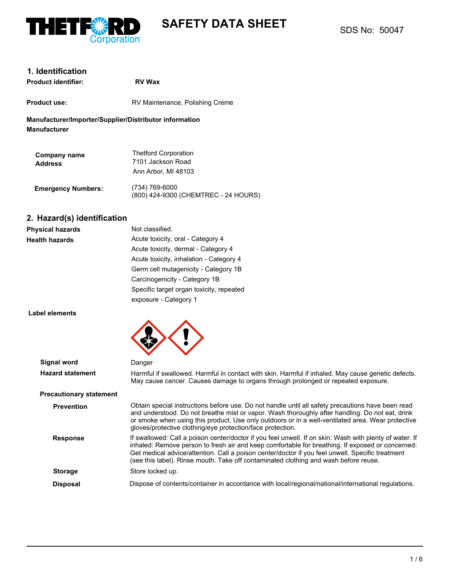

# **SAFETY DATA SHEET**

### **1. Identification**

| <b>Product identifier:</b> | <b>RV Wax</b>                   |
|----------------------------|---------------------------------|
| <b>Product use:</b>        | RV Maintenance, Polishing Creme |

**Manufacturer/Importer/Supplier/Distributor information Manufacturer**

| Company name<br><b>Address</b> | <b>Thetford Corporation</b><br>7101 Jackson Road<br>Ann Arbor, MI 48103 |
|--------------------------------|-------------------------------------------------------------------------|
| <b>Emergency Numbers:</b>      | (734) 769-6000<br>(800) 424-9300 (CHEMTREC - 24 HOURS)                  |

### **2. Hazard(s) identification**

| <b>Physical hazards</b> | Not classified.                          |
|-------------------------|------------------------------------------|
| <b>Health hazards</b>   | Acute toxicity, oral - Category 4        |
|                         | Acute toxicity, dermal - Category 4      |
|                         | Acute toxicity, inhalation - Category 4  |
|                         | Germ cell mutagenicity - Category 1B     |
|                         | Carcinogenicity - Category 1B            |
|                         | Specific target organ toxicity, repeated |
|                         | exposure - Category 1                    |

#### **Label elements**

| Signal word                    | Danger                                                                                                                                                                                                                                                                                                                                                                                                  |
|--------------------------------|---------------------------------------------------------------------------------------------------------------------------------------------------------------------------------------------------------------------------------------------------------------------------------------------------------------------------------------------------------------------------------------------------------|
| <b>Hazard statement</b>        | Harmful if swallowed. Harmful in contact with skin. Harmful if inhaled. May cause genetic defects.<br>May cause cancer. Causes damage to organs through prolonged or repeated exposure.                                                                                                                                                                                                                 |
| <b>Precautionary statement</b> |                                                                                                                                                                                                                                                                                                                                                                                                         |
| <b>Prevention</b>              | Obtain special instructions before use. Do not handle until all safety precautions have been read<br>and understood. Do not breathe mist or vapor. Wash thoroughly after handling. Do not eat, drink<br>or smoke when using this product. Use only outdoors or in a well-ventilated area. Wear protective<br>gloves/protective clothing/eye protection/face protection.                                 |
| <b>Response</b>                | If swallowed: Call a poison center/doctor if you feel unwell. If on skin: Wash with plenty of water. If<br>inhaled: Remove person to fresh air and keep comfortable for breathing. If exposed or concerned:<br>Get medical advice/attention. Call a poison center/doctor if you feel unwell. Specific treatment<br>(see this label). Rinse mouth. Take off contaminated clothing and wash before reuse. |
| <b>Storage</b>                 | Store locked up.                                                                                                                                                                                                                                                                                                                                                                                        |
| <b>Disposal</b>                | Dispose of contents/container in accordance with local/regional/national/international regulations.                                                                                                                                                                                                                                                                                                     |
|                                |                                                                                                                                                                                                                                                                                                                                                                                                         |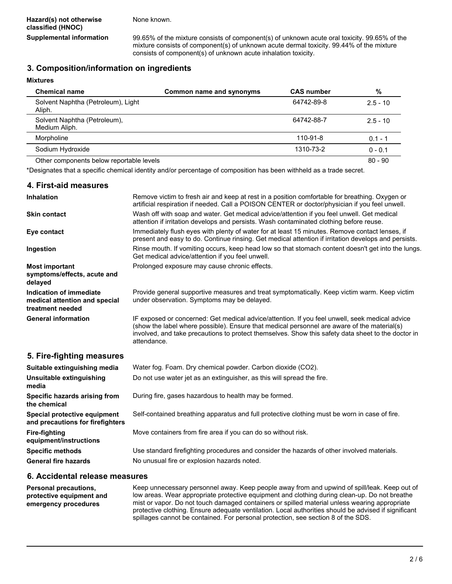None known.

**Supplemental information** 99.65% of the mixture consists of component(s) of unknown acute oral toxicity. 99.65% of the mixture consists of component(s) of unknown acute dermal toxicity. 99.44% of the mixture consists of component(s) of unknown acute inhalation toxicity.

#### **3. Composition/information on ingredients**

**Mixtures**

**4. First-aid measures**

| <b>Chemical name</b>                          | Common name and synonyms | <b>CAS number</b> | %          |
|-----------------------------------------------|--------------------------|-------------------|------------|
| Solvent Naphtha (Petroleum), Light<br>Aliph.  |                          | 64742-89-8        | $2.5 - 10$ |
| Solvent Naphtha (Petroleum),<br>Medium Aliph. |                          | 64742-88-7        | $2.5 - 10$ |
| Morpholine                                    |                          | 110-91-8          | $0.1 - 1$  |
| Sodium Hydroxide                              |                          | 1310-73-2         | $0 - 0.1$  |
| Other components below reportable levels      |                          |                   | $80 - 90$  |

\*Designates that a specific chemical identity and/or percentage of composition has been withheld as a trade secret.

| 4. First-aid measures                                                        |                                                                                                                                                                                                                                                                                                                    |
|------------------------------------------------------------------------------|--------------------------------------------------------------------------------------------------------------------------------------------------------------------------------------------------------------------------------------------------------------------------------------------------------------------|
| <b>Inhalation</b>                                                            | Remove victim to fresh air and keep at rest in a position comfortable for breathing. Oxygen or<br>artificial respiration if needed. Call a POISON CENTER or doctor/physician if you feel unwell.                                                                                                                   |
| <b>Skin contact</b>                                                          | Wash off with soap and water. Get medical advice/attention if you feel unwell. Get medical<br>attention if irritation develops and persists. Wash contaminated clothing before reuse.                                                                                                                              |
| Eye contact                                                                  | Immediately flush eyes with plenty of water for at least 15 minutes. Remove contact lenses, if<br>present and easy to do. Continue rinsing. Get medical attention if irritation develops and persists.                                                                                                             |
| Ingestion                                                                    | Rinse mouth. If vomiting occurs, keep head low so that stomach content doesn't get into the lungs.<br>Get medical advice/attention if you feel unwell.                                                                                                                                                             |
| <b>Most important</b><br>symptoms/effects, acute and<br>delayed              | Prolonged exposure may cause chronic effects.                                                                                                                                                                                                                                                                      |
| Indication of immediate<br>medical attention and special<br>treatment needed | Provide general supportive measures and treat symptomatically. Keep victim warm. Keep victim<br>under observation. Symptoms may be delayed.                                                                                                                                                                        |
| <b>General information</b>                                                   | IF exposed or concerned: Get medical advice/attention. If you feel unwell, seek medical advice<br>(show the label where possible). Ensure that medical personnel are aware of the material(s)<br>involved, and take precautions to protect themselves. Show this safety data sheet to the doctor in<br>attendance. |
| 5. Fire-fighting measures                                                    |                                                                                                                                                                                                                                                                                                                    |
| Suitable extinguishing media                                                 | Water fog. Foam. Dry chemical powder. Carbon dioxide (CO2).                                                                                                                                                                                                                                                        |
| Unsuitable extinguishing<br>media                                            | Do not use water jet as an extinguisher, as this will spread the fire.                                                                                                                                                                                                                                             |
| Specific hazards arising from<br>the chemical                                | During fire, gases hazardous to health may be formed.                                                                                                                                                                                                                                                              |
| Special protective equipment<br>and precautions for firefighters             | Self-contained breathing apparatus and full protective clothing must be worn in case of fire.                                                                                                                                                                                                                      |
| <b>Fire-fighting</b><br>equipment/instructions                               | Move containers from fire area if you can do so without risk.                                                                                                                                                                                                                                                      |
| <b>Specific methods</b>                                                      | Use standard firefighting procedures and consider the hazards of other involved materials.                                                                                                                                                                                                                         |

General fire hazards **No unusual fire or explosion hazards noted.** 

#### **6. Accidental release measures**

**Personal precautions, protective equipment and emergency procedures** Keep unnecessary personnel away. Keep people away from and upwind of spill/leak. Keep out of low areas. Wear appropriate protective equipment and clothing during clean-up. Do not breathe mist or vapor. Do not touch damaged containers or spilled material unless wearing appropriate protective clothing. Ensure adequate ventilation. Local authorities should be advised if significant spillages cannot be contained. For personal protection, see section 8 of the SDS.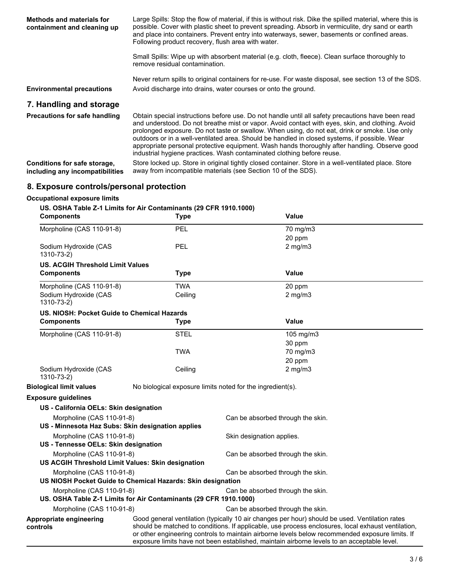| <b>Methods and materials for</b><br>containment and cleaning up | Large Spills: Stop the flow of material, if this is without risk. Dike the spilled material, where this is<br>possible. Cover with plastic sheet to prevent spreading. Absorb in vermiculite, dry sand or earth<br>and place into containers. Prevent entry into waterways, sewer, basements or confined areas.<br>Following product recovery, flush area with water.     |  |
|-----------------------------------------------------------------|---------------------------------------------------------------------------------------------------------------------------------------------------------------------------------------------------------------------------------------------------------------------------------------------------------------------------------------------------------------------------|--|
|                                                                 | Small Spills: Wipe up with absorbent material (e.g. cloth, fleece). Clean surface thoroughly to<br>remove residual contamination.                                                                                                                                                                                                                                         |  |
|                                                                 | Never return spills to original containers for re-use. For waste disposal, see section 13 of the SDS.                                                                                                                                                                                                                                                                     |  |
| <b>Environmental precautions</b>                                | Avoid discharge into drains, water courses or onto the ground.                                                                                                                                                                                                                                                                                                            |  |
| 7. Handling and storage                                         |                                                                                                                                                                                                                                                                                                                                                                           |  |
| Precautions for safe handling                                   | Obtain special instructions before use. Do not handle until all safety precautions have been read<br>and understood. Do not breathe mist or vapor. Avoid contact with eyes, skin, and clothing. Avoid                                                                                                                                                                     |  |
|                                                                 | prolonged exposure. Do not taste or swallow. When using, do not eat, drink or smoke. Use only<br>outdoors or in a well-ventilated area. Should be handled in closed systems, if possible. Wear<br>appropriate personal protective equipment. Wash hands thoroughly after handling. Observe good<br>industrial hygiene practices. Wash contaminated clothing before reuse. |  |

# **8. Exposure controls/personal protection**

### **Occupational exposure limits**

| US. OSHA Table Z-1 Limits for Air Contaminants (29 CFR 1910.1000)<br><b>Components</b>   | <b>Type</b> |                                                            | <b>Value</b>                                                                                                                                                                                                                                                                                                                                                                                           |
|------------------------------------------------------------------------------------------|-------------|------------------------------------------------------------|--------------------------------------------------------------------------------------------------------------------------------------------------------------------------------------------------------------------------------------------------------------------------------------------------------------------------------------------------------------------------------------------------------|
| Morpholine (CAS 110-91-8)                                                                | PEL         |                                                            | 70 mg/m3                                                                                                                                                                                                                                                                                                                                                                                               |
|                                                                                          |             |                                                            | 20 ppm                                                                                                                                                                                                                                                                                                                                                                                                 |
| Sodium Hydroxide (CAS<br>1310-73-2)                                                      | PEL         |                                                            | $2$ mg/m $3$                                                                                                                                                                                                                                                                                                                                                                                           |
| <b>US. ACGIH Threshold Limit Values</b>                                                  |             |                                                            |                                                                                                                                                                                                                                                                                                                                                                                                        |
| <b>Components</b>                                                                        | <b>Type</b> |                                                            | Value                                                                                                                                                                                                                                                                                                                                                                                                  |
| Morpholine (CAS 110-91-8)                                                                | <b>TWA</b>  |                                                            | 20 ppm                                                                                                                                                                                                                                                                                                                                                                                                 |
| Sodium Hydroxide (CAS<br>1310-73-2)                                                      | Ceiling     |                                                            | $2$ mg/m $3$                                                                                                                                                                                                                                                                                                                                                                                           |
| US. NIOSH: Pocket Guide to Chemical Hazards                                              |             |                                                            |                                                                                                                                                                                                                                                                                                                                                                                                        |
| <b>Components</b>                                                                        | <b>Type</b> |                                                            | <b>Value</b>                                                                                                                                                                                                                                                                                                                                                                                           |
| Morpholine (CAS 110-91-8)                                                                | <b>STEL</b> |                                                            | $105$ mg/m $3$                                                                                                                                                                                                                                                                                                                                                                                         |
|                                                                                          |             |                                                            | 30 ppm                                                                                                                                                                                                                                                                                                                                                                                                 |
|                                                                                          | <b>TWA</b>  |                                                            | 70 mg/m3                                                                                                                                                                                                                                                                                                                                                                                               |
|                                                                                          |             |                                                            | 20 ppm                                                                                                                                                                                                                                                                                                                                                                                                 |
| Sodium Hydroxide (CAS<br>1310-73-2)                                                      | Ceiling     |                                                            | $2$ mg/m $3$                                                                                                                                                                                                                                                                                                                                                                                           |
| <b>Biological limit values</b>                                                           |             | No biological exposure limits noted for the ingredient(s). |                                                                                                                                                                                                                                                                                                                                                                                                        |
| <b>Exposure guidelines</b>                                                               |             |                                                            |                                                                                                                                                                                                                                                                                                                                                                                                        |
| US - California OELs: Skin designation                                                   |             |                                                            |                                                                                                                                                                                                                                                                                                                                                                                                        |
| Morpholine (CAS 110-91-8)                                                                |             | Can be absorbed through the skin.                          |                                                                                                                                                                                                                                                                                                                                                                                                        |
| US - Minnesota Haz Subs: Skin designation applies                                        |             |                                                            |                                                                                                                                                                                                                                                                                                                                                                                                        |
| Morpholine (CAS 110-91-8)                                                                |             | Skin designation applies.                                  |                                                                                                                                                                                                                                                                                                                                                                                                        |
| US - Tennesse OELs: Skin designation                                                     |             |                                                            |                                                                                                                                                                                                                                                                                                                                                                                                        |
| Morpholine (CAS 110-91-8)                                                                |             | Can be absorbed through the skin.                          |                                                                                                                                                                                                                                                                                                                                                                                                        |
| US ACGIH Threshold Limit Values: Skin designation                                        |             |                                                            |                                                                                                                                                                                                                                                                                                                                                                                                        |
| Morpholine (CAS 110-91-8)<br>US NIOSH Pocket Guide to Chemical Hazards: Skin designation |             | Can be absorbed through the skin.                          |                                                                                                                                                                                                                                                                                                                                                                                                        |
| Morpholine (CAS 110-91-8)                                                                |             | Can be absorbed through the skin.                          |                                                                                                                                                                                                                                                                                                                                                                                                        |
| US. OSHA Table Z-1 Limits for Air Contaminants (29 CFR 1910.1000)                        |             |                                                            |                                                                                                                                                                                                                                                                                                                                                                                                        |
| Morpholine (CAS 110-91-8)                                                                |             | Can be absorbed through the skin.                          |                                                                                                                                                                                                                                                                                                                                                                                                        |
| Appropriate engineering<br>controls                                                      |             |                                                            | Good general ventilation (typically 10 air changes per hour) should be used. Ventilation rates<br>should be matched to conditions. If applicable, use process enclosures, local exhaust ventilation,<br>or other engineering controls to maintain airborne levels below recommended exposure limits. If<br>exposure limits have not been established, maintain airborne levels to an acceptable level. |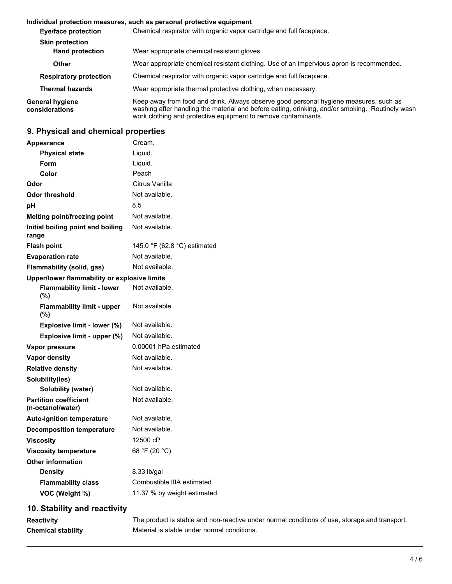#### **Individual protection measures, such as personal protective equipment**

| <b>Eye/face protection</b>                       | Chemical respirator with organic vapor cartridge and full facepiece.                                                                                                                                                                                       |  |  |
|--------------------------------------------------|------------------------------------------------------------------------------------------------------------------------------------------------------------------------------------------------------------------------------------------------------------|--|--|
| <b>Skin protection</b><br><b>Hand protection</b> | Wear appropriate chemical resistant gloves.                                                                                                                                                                                                                |  |  |
| Other                                            | Wear appropriate chemical resistant clothing. Use of an impervious apron is recommended.                                                                                                                                                                   |  |  |
| <b>Respiratory protection</b>                    | Chemical respirator with organic vapor cartridge and full facepiece.                                                                                                                                                                                       |  |  |
| <b>Thermal hazards</b>                           | Wear appropriate thermal protective clothing, when necessary.                                                                                                                                                                                              |  |  |
| General hygiene<br>considerations                | Keep away from food and drink. Always observe good personal hygiene measures, such as<br>washing after handling the material and before eating, drinking, and/or smoking. Routinely wash<br>work clothing and protective equipment to remove contaminants. |  |  |

# **9. Physical and chemical properties**

| <b>Appearance</b>                                 | Cream.                       |  |  |  |
|---------------------------------------------------|------------------------------|--|--|--|
| <b>Physical state</b>                             | Liquid.                      |  |  |  |
| <b>Form</b>                                       | Liquid.                      |  |  |  |
| Color                                             | Peach                        |  |  |  |
| Odor                                              | Citrus Vanilla               |  |  |  |
| Odor threshold                                    | Not available.               |  |  |  |
| рH                                                | 8.5                          |  |  |  |
| Melting point/freezing point                      | Not available.               |  |  |  |
| Initial boiling point and boiling<br>range        | Not available.               |  |  |  |
| <b>Flash point</b>                                | 145.0 °F (62.8 °C) estimated |  |  |  |
| <b>Evaporation rate</b>                           | Not available.               |  |  |  |
| Flammability (solid, gas)                         | Not available.               |  |  |  |
| Upper/lower flammability or explosive limits      |                              |  |  |  |
| <b>Flammability limit - lower</b><br>(%)          | Not available.               |  |  |  |
| <b>Flammability limit - upper</b><br>(%)          | Not available.               |  |  |  |
| Explosive limit - lower (%)                       | Not available.               |  |  |  |
| Explosive limit - upper (%)                       | Not available.               |  |  |  |
| Vapor pressure                                    | 0.00001 hPa estimated        |  |  |  |
| <b>Vapor density</b>                              | Not available.               |  |  |  |
| <b>Relative density</b>                           | Not available.               |  |  |  |
| Solubility(ies)                                   |                              |  |  |  |
| <b>Solubility (water)</b>                         | Not available.               |  |  |  |
| <b>Partition coefficient</b><br>(n-octanol/water) | Not available.               |  |  |  |
| <b>Auto-ignition temperature</b>                  | Not available.               |  |  |  |
| <b>Decomposition temperature</b>                  | Not available.               |  |  |  |
| Viscosity                                         | 12500 cP                     |  |  |  |
| <b>Viscosity temperature</b>                      | 68 °F (20 °C)                |  |  |  |
| <b>Other information</b>                          |                              |  |  |  |
| <b>Density</b>                                    | 8.33 lb/gal                  |  |  |  |
| <b>Flammability class</b>                         | Combustible IIIA estimated   |  |  |  |
| VOC (Weight %)                                    | 11.37 % by weight estimated  |  |  |  |

# **10. Stability and reactivity**

| <b>Reactivity</b>         | The prod   |
|---------------------------|------------|
| <b>Chemical stability</b> | Material i |

**Reactivity** Tuct is stable and non-reactive under normal conditions of use, storage and transport. is stable under normal conditions.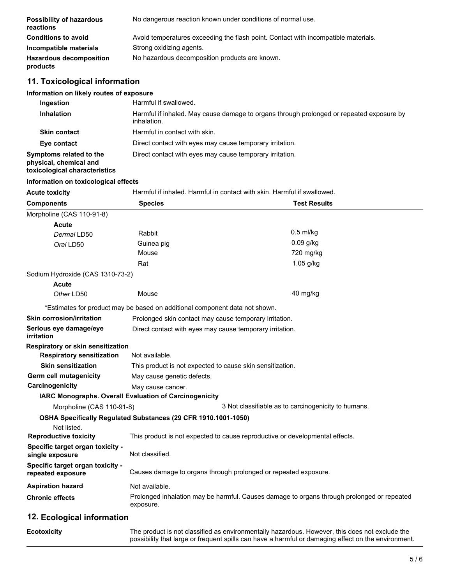| <b>Possibility of hazardous</b><br>reactions | No dangerous reaction known under conditions of normal use.                        |
|----------------------------------------------|------------------------------------------------------------------------------------|
| <b>Conditions to avoid</b>                   | Avoid temperatures exceeding the flash point. Contact with incompatible materials. |
| Incompatible materials                       | Strong oxidizing agents.                                                           |
| <b>Hazardous decomposition</b><br>products   | No hazardous decomposition products are known.                                     |

# **11. Toxicological information**

### **Information on likely routes of exposure**

| Ingestion                                                                          | Harmful if swallowed.                                                                                   |
|------------------------------------------------------------------------------------|---------------------------------------------------------------------------------------------------------|
| <b>Inhalation</b>                                                                  | Harmful if inhaled. May cause damage to organs through prolonged or repeated exposure by<br>inhalation. |
| <b>Skin contact</b>                                                                | Harmful in contact with skin.                                                                           |
| Eye contact                                                                        | Direct contact with eyes may cause temporary irritation.                                                |
| Symptoms related to the<br>physical, chemical and<br>toxicological characteristics | Direct contact with eyes may cause temporary irritation.                                                |

# **Information on toxicological effects**

| Harmful if inhaled. Harmful in contact with skin. Harmful if swallowed.<br>Acute toxicity |
|-------------------------------------------------------------------------------------------|
|-------------------------------------------------------------------------------------------|

| <b>Components</b>                                     | <b>Species</b>                                                                                          | <b>Test Results</b>                                 |  |
|-------------------------------------------------------|---------------------------------------------------------------------------------------------------------|-----------------------------------------------------|--|
| Morpholine (CAS 110-91-8)                             |                                                                                                         |                                                     |  |
| Acute                                                 |                                                                                                         |                                                     |  |
| Dermal LD50                                           | Rabbit                                                                                                  | $0.5$ ml/kg                                         |  |
| Oral LD50                                             | Guinea pig                                                                                              | 0.09 g/kg                                           |  |
|                                                       | Mouse                                                                                                   | 720 mg/kg                                           |  |
|                                                       | Rat                                                                                                     | $1.05$ g/kg                                         |  |
| Sodium Hydroxide (CAS 1310-73-2)                      |                                                                                                         |                                                     |  |
| Acute                                                 |                                                                                                         |                                                     |  |
| Other LD50                                            | Mouse                                                                                                   | 40 mg/kg                                            |  |
|                                                       | *Estimates for product may be based on additional component data not shown.                             |                                                     |  |
| <b>Skin corrosion/irritation</b>                      | Prolonged skin contact may cause temporary irritation.                                                  |                                                     |  |
| Serious eye damage/eye<br>irritation                  | Direct contact with eyes may cause temporary irritation.                                                |                                                     |  |
| Respiratory or skin sensitization                     |                                                                                                         |                                                     |  |
| <b>Respiratory sensitization</b>                      | Not available.                                                                                          |                                                     |  |
| <b>Skin sensitization</b>                             | This product is not expected to cause skin sensitization.                                               |                                                     |  |
| <b>Germ cell mutagenicity</b>                         | May cause genetic defects.                                                                              |                                                     |  |
| Carcinogenicity                                       | May cause cancer.                                                                                       |                                                     |  |
|                                                       | IARC Monographs. Overall Evaluation of Carcinogenicity                                                  |                                                     |  |
| Morpholine (CAS 110-91-8)                             |                                                                                                         | 3 Not classifiable as to carcinogenicity to humans. |  |
|                                                       | OSHA Specifically Regulated Substances (29 CFR 1910.1001-1050)                                          |                                                     |  |
| Not listed.                                           |                                                                                                         |                                                     |  |
| <b>Reproductive toxicity</b>                          | This product is not expected to cause reproductive or developmental effects.                            |                                                     |  |
| Specific target organ toxicity -<br>single exposure   | Not classified.                                                                                         |                                                     |  |
| Specific target organ toxicity -<br>repeated exposure | Causes damage to organs through prolonged or repeated exposure.                                         |                                                     |  |
| <b>Aspiration hazard</b>                              | Not available.                                                                                          |                                                     |  |
| <b>Chronic effects</b>                                | Prolonged inhalation may be harmful. Causes damage to organs through prolonged or repeated<br>exposure. |                                                     |  |
| 12. Ecological information                            |                                                                                                         |                                                     |  |

| Ecotoxicity | The product is not classified as environmentally hazardous. However, this does not exclude the      |
|-------------|-----------------------------------------------------------------------------------------------------|
|             | possibility that large or frequent spills can have a harmful or damaging effect on the environment. |